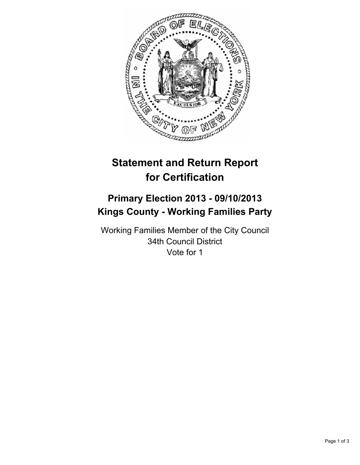

# **Statement and Return Report for Certification**

# **Primary Election 2013 - 09/10/2013 Kings County - Working Families Party**

Working Families Member of the City Council 34th Council District Vote for 1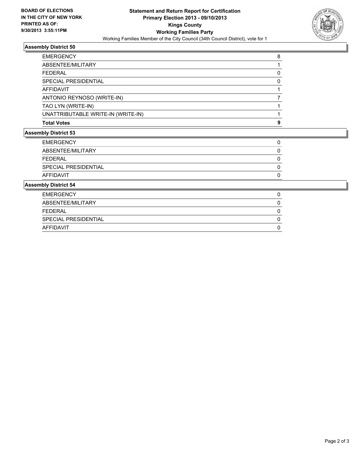

## **Assembly District 50**

| <b>Assembly District 53</b> |                                    |   |  |
|-----------------------------|------------------------------------|---|--|
|                             | <b>Total Votes</b>                 | o |  |
|                             | UNATTRIBUTABLE WRITE-IN (WRITE-IN) |   |  |
|                             | TAO LYN (WRITE-IN)                 |   |  |
|                             | ANTONIO REYNOSO (WRITE-IN)         |   |  |
|                             | AFFIDAVIT                          |   |  |
|                             | <b>SPECIAL PRESIDENTIAL</b>        |   |  |
|                             | FFDFRAI                            |   |  |
|                             | ABSENTEE/MILITARY                  |   |  |
|                             | <b>EMERGENCY</b>                   | 8 |  |

| <b>EMERGENCY</b>     |  |
|----------------------|--|
| ABSENTEE/MILITARY    |  |
| <b>FEDERAL</b>       |  |
| SPECIAL PRESIDENTIAL |  |
| <b>AFFIDAVIT</b>     |  |

### **Assembly District 54**

| <b>EMERGENCY</b>     |  |
|----------------------|--|
| ABSENTEE/MILITARY    |  |
| FEDERAL              |  |
| SPECIAL PRESIDENTIAL |  |
| AFFIDAVIT            |  |